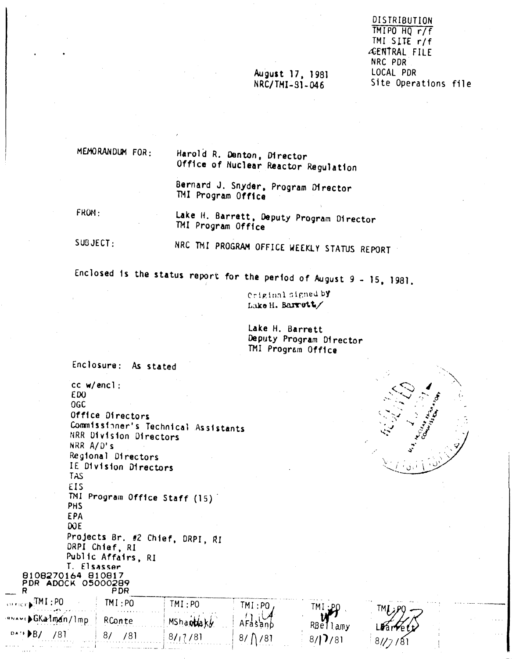#### August 17, 1981 NRC/TMI-91-046

DISTRIBUTION TMIPO HQ r/f TMI SITE r/f ÆENTRAL FILE NRC PDR LOCAL PDR Site Operations file

#### MEMORANDUM FOR:

Harold R. Denton, Director Office of Nuclear Reactor Regulation

Bernard J. Snyder, Program Director TMI Program Office

FROM:

 $PB/$ 

781

87

/81

8/11/81

Lake H. Barrett, Deputy Program Director TMI Program Office

 $SUBJECT:$ 

NRC TMI PROGRAM OFFICE WEEKLY STATUS REPORT

Enclosed is the status report for the period of August  $9 - 15$ , 1981.

Criginal signed by Lake H. Barrett/

Lake H. Barrett Deputy Program Director TMI Program Office

TMI

RBellamy

 $8/17/81$ 

AFas

 $8/7$ 

anb

81

Enclosure: As stated cc w/encl: ED<sub>0</sub> **OGC** Office Directors Commissioner's Technical Assistants NRR Division Directors NRR A/D's Regional Directors IE Division Directors **TAS** EIS TMI Program Office Staff (15) PHS EPA DOE<sup></sup> Projects Br. #2 Chief, DRPI, RI DRPI Chief, RI Public Affairs, RI T. Elsasser 8108270164 810817<br>PDR ADOCK 05000289 **PDR**  $\cdot$  TMI : PO  $TM:PO$  $TM:PO$  $TM:PO$ ▶GKalman/lmp MShaptlaky RConte

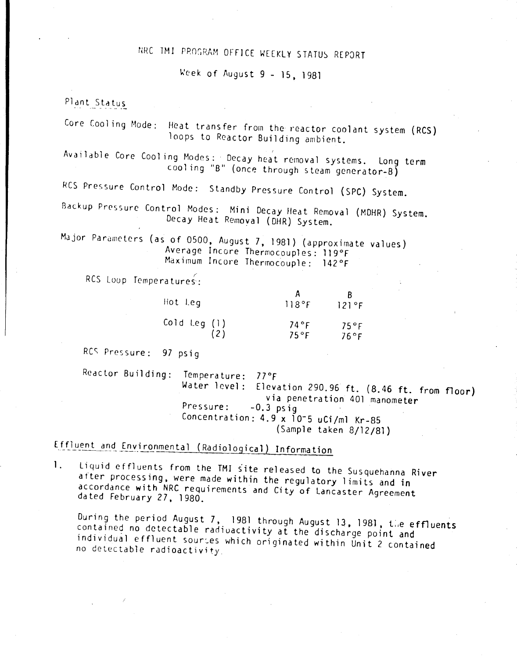## NRC TMI PROGRAM OFFICE WEEKLY STATUS REPORT

~cek of August 9 - 15, 1981

#### Plant Status

Core Cooling Mode: Heat transfer from the reactor coolant system (RCS) loops to Reactor Building ambient.

Available Core Cooling Modes: Decay heat removal systems. Long term cooling "B" (once through steam generator-B)

RCS Pressure Control Mode: Standby Pressure Control (SPC) System.

Backup Pressure Control Modes: Mini Decay Heat Removal (MDHR) System. Decay Heat Removal (DHR) System.

Major Parameters (as of 0500, August 7, 1981) (approximate values) Average Incore Thermocouples: 119°F Maximum Incore Thermocouple: 142°F

RCS Loop Temperatures

| Hot Leg      | 118°F                     | R<br>121°F      |
|--------------|---------------------------|-----------------|
| Cold Leg (1) | $74^{\circ}$ F<br>$75°$ F | 75°F<br>$76°$ F |

RC~ Pressure: 97 psig

Reactor Building: Temperature: 77°F Water level: Elevation 290.96 ft. (8.46 ft. from floor) via penetration 401 manometer<br>-0.3 psia Pressure: -0.3 psig Concentration: 4.9 x 10-5 uCi/ml Kr-85 (Sample taken 8/12/81)

# Effluent and Environmental (Radiological) Information

1. Liquid effluents from the TMI site released to the Susquehanna River after processing, were made within the regulatory limits and in accordance with NRC requirements and City of Lancaster Agreement dated February 27. 1980.

During the period August 7, 1981 through August 13, 1981, the effluents contained no detectable radiuactivity at the discharge point and individual effluent sources which originated within Unit 2 contained no detectable radioactivity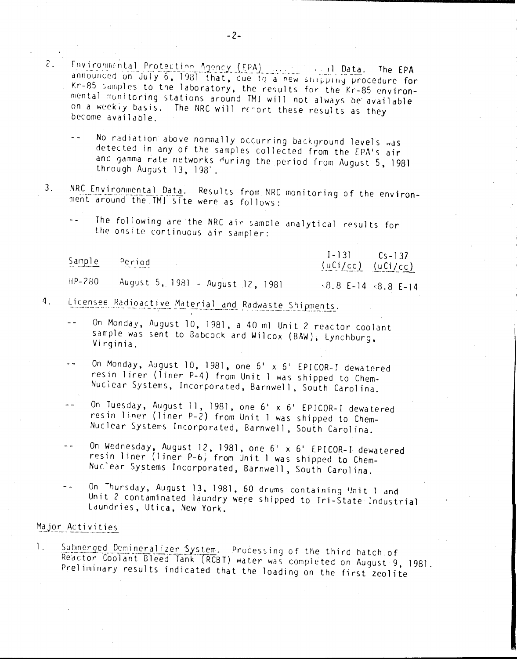- Environmental Protection Agency (FPA) [11] Data. The EPA announced on July 6, 1981 that, due to a new snipping procedure for Kr-85 samples to the laboratory, the results for the Kr-85 environmental monitoring stations around TMI will not always be available on a weekiy basis. The NRC will report these results as they become available.
	- No radiation above normally occurring background levels was detected in any of the samples collected from the EPA's air and gamma rate networks during the period from August 5, 1981 through August 13, 1981.
- NRC Environmental Data. Results from NRC monitoring of the environ-3. ment around the TMI site were as follows:
	- The following are the NRC air sample analytical results for the onsite continuous air sampler:

 $1 - 131$  $Cs - 1.37$ Sample Period  $(uCi/cc)$  $(uCi/cc)$ HP-280 August 5, 1981 - August 12, 1981  $8.8$  E-14  $8.8$  E-14

- Licensee Radioactive Material and Radwaste Shipments. 4.
	- On Monday, August 10, 1981, a 40 ml Unit 2 reactor coolant  $$ sample was sent to Babcock and Wilcox (B&W), Lynchburg, Virginia.
	- On Monday, August 10, 1981, one 6' x 6' EPICOR-I dewatered resin liner (liner P-4) from Unit I was shipped to Chem-Nuclear Systems, Incorporated, Barnwell, South Carolina.
	- On Tuesday, August 11, 1981, one 6' x 6' EPICOR-I dewatered resin liner (liner P-2) from Unit I was shipped to Chem-Nuclear Systems Incorporated, Barnwell, South Carolina.
	- On Wednesday, August 12, 1981, one 6' x 6' EPICOR-I dewatered  $$ resin liner (liner P-6) from Unit I was shipped to Chem-Nuclear Systems Incorporated, Barnwell, South Carolina.
	- On Thursday, August 13, 1981, 60 drums containing Unit 1 and Unit 2 contaminated laundry were shipped to Tri-State Industrial Laundries, Utica, New York.

#### Major Activities

 $\mathsf{2}$ .

Submerged Demineralizer System. Processing of the third batch of  $\mathbf{1}$ . Reactor Coolant Bleed Tank (RCBT) water was completed on August 9, 1981. Preliminary results indicated that the loading on the first zeolite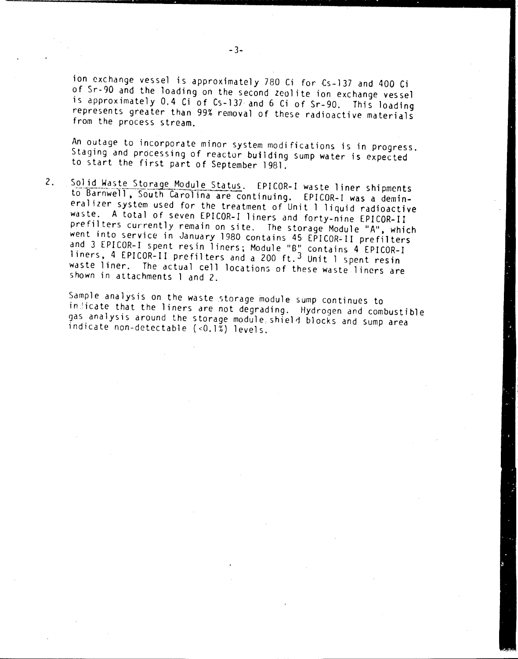ion exchange vessel is approximately 780 Ci for (s-137 and 400 Ci of Sr-gO and the loading on the second zeolite ion exchange vessel is approximately 0.4 Ci of Cs-137 and 6 Ci of Sr-90. This loading represents greater than 99% removal of these radioactive materials from the process stream.

An outage to incorporate minor system modifications is in progress. Staging and processing of reactor building sump water is expected to start the first part of September 1981.

2. Solid Waste Storage Module Status. EPICOR-I waste liner shipments to Barnwell. South Carolina are continuing. EPICOR-I was a deminera1 izer system used for the treatment of Unit 1 liquid radioactive waste. A total of seven EPICOR-I liners and forty-nine EPICOR-II prefilters currently remain on site. The storage Module "A", which went into service in January 1980 contains 45 EPICOR-II prefilters and 3 EPICOR-I spent resin liners; Module "B" contains 4 EPICOR-I liners, 4 EPICOR-II prefilters and a 200 ft.<sup>3</sup> Unit 1 spent resin waste liner. The actual cell locations of these waste liners are shown in attachments 1 and 2.

Sample analysis on the waste storage module sump continues to in icate that the liners are not degrading. Hydrogen and combustible gas analysis around the storage module shield blocks and sump area indicate non-detectable «0.1%) levels.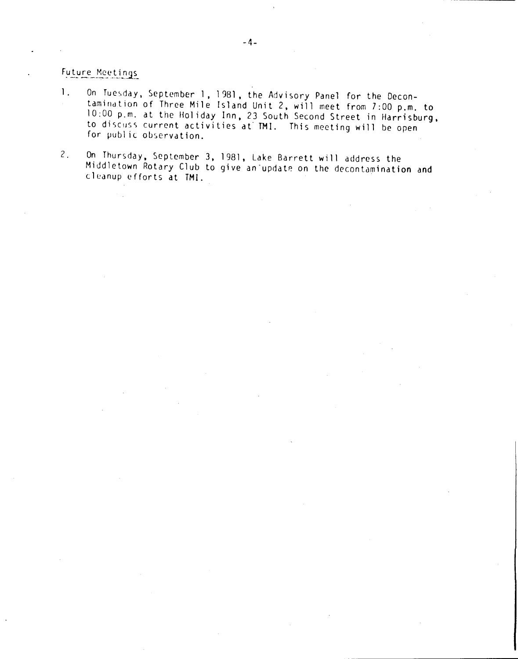### Future Meetings

- 1. On Tuesday, September 1, 1981, the Advisory Panel for the Decontamindtion of Three Mile Island Unit 2. will meet from 7:00 p.m. to 10:00 p.m. at the Hol iday Inn. 23 South Second Street in Harrisburg. to discuss current activities at TMI. This meeting will be open for public observation.
- 2. On Thursday. September 3. 1981. Lake Barrett will address the Middletown Rotary Club to give an update on the decontamination and cleanup efforts at TMI.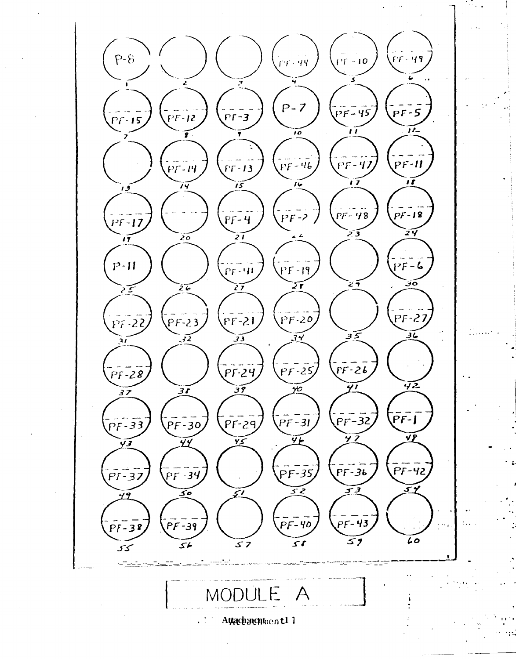$P-\hat{B}$ - 49  $-10$  $\mathsf{f}^{\dagger}\mathsf{f}$  $P - 7$  $PF-S$ 7F-45  $P$  $F - 3$ 2F-12  $PT-15$ ıĩ  $\overline{R}$  $\overline{10}$ ī  $PF-II$  $PF-47$  $PF - 13$ - 46  $PF-14$ ₽F ïï íź .<br>15  $\tilde{'}$ َوْ ا  $PF - 48$  $PF-18$  $PF-4$  $PF-17$ 24 דכ  $\tilde{\bm{z}}$ T  $\sum_{i=1}^{n}$  $\overline{17}$  $P - H$  $PF - 6$  $PF-19$  $PF-91$  $\widetilde{\mathcal{F}}$  $\epsilon$ ەت  $\widetilde{26}$  $\overline{27}$  $\overline{2}$ ------<br>PF-27  $PF-20$  $\overline{PF-23}$  $PF-21$  $PF-22$  $\mathcal{E}$  $\overline{36}$  $\widetilde{z}$ 34  $\mathfrak{Z}$  $\frac{1}{P}F - 24$  $\overline{PF}$ -25  $PF-26$  $\overline{PF}$ -28 42 41  $\overline{31}$  $\mathfrak{Z}$ 10 37  $\overline{P}$ F-1  $\overline{PF-32}$  $PF-3I$  $PF-29$  $\overline{PF-33}$  $PF-30$ Ÿ7 YP  $\widetilde{46}$  $\widetilde{\mathbf{y}}$ 44 YЗ  $-72$  $PF-35$  $PF-36$  $PF-34$  $PT-32$ <u>ح تی</u> 5 3 30 <u>51</u> 49  $PF-43$  $PF-40$ ·39  $5 - 3$ Lo 59  $50$  $57$  $56$ ىمى MC  $\boldsymbol{\mathsf{A}}$ Attachmentnent11